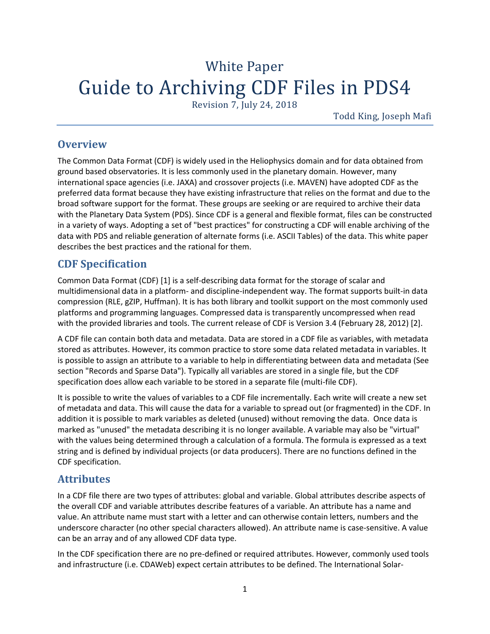# White Paper Guide to Archiving CDF Files in PDS4

Revision 7, July 24, 2018

Todd King, Joseph Mafi

### **Overview**

The Common Data Format (CDF) is widely used in the Heliophysics domain and for data obtained from ground based observatories. It is less commonly used in the planetary domain. However, many international space agencies (i.e. JAXA) and crossover projects (i.e. MAVEN) have adopted CDF as the preferred data format because they have existing infrastructure that relies on the format and due to the broad software support for the format. These groups are seeking or are required to archive their data with the Planetary Data System (PDS). Since CDF is a general and flexible format, files can be constructed in a variety of ways. Adopting a set of "best practices" for constructing a CDF will enable archiving of the data with PDS and reliable generation of alternate forms (i.e. ASCII Tables) of the data. This white paper describes the best practices and the rational for them.

# **CDF Specification**

Common Data Format (CDF) [1] is a self-describing data format for the storage of scalar and multidimensional data in a platform- and discipline-independent way. The format supports built-in data compression (RLE, gZIP, Huffman). It is has both library and toolkit support on the most commonly used platforms and programming languages. Compressed data is transparently uncompressed when read with the provided libraries and tools. The current release of CDF is Version 3.4 (February 28, 2012) [2].

A CDF file can contain both data and metadata. Data are stored in a CDF file as variables, with metadata stored as attributes. However, its common practice to store some data related metadata in variables. It is possible to assign an attribute to a variable to help in differentiating between data and metadata (See section "Records and Sparse Data"). Typically all variables are stored in a single file, but the CDF specification does allow each variable to be stored in a separate file (multi-file CDF).

It is possible to write the values of variables to a CDF file incrementally. Each write will create a new set of metadata and data. This will cause the data for a variable to spread out (or fragmented) in the CDF. In addition it is possible to mark variables as deleted (unused) without removing the data. Once data is marked as "unused" the metadata describing it is no longer available. A variable may also be "virtual" with the values being determined through a calculation of a formula. The formula is expressed as a text string and is defined by individual projects (or data producers). There are no functions defined in the CDF specification.

# **Attributes**

In a CDF file there are two types of attributes: global and variable. Global attributes describe aspects of the overall CDF and variable attributes describe features of a variable. An attribute has a name and value. An attribute name must start with a letter and can otherwise contain letters, numbers and the underscore character (no other special characters allowed). An attribute name is case-sensitive. A value can be an array and of any allowed CDF data type.

In the CDF specification there are no pre-defined or required attributes. However, commonly used tools and infrastructure (i.e. CDAWeb) expect certain attributes to be defined. The International Solar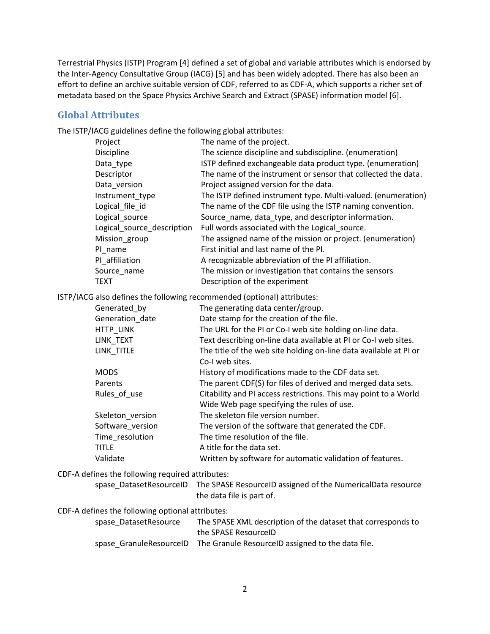Terrestrial Physics (ISTP) Program [4] defined a set of global and variable attributes which is endorsed by the Inter-Agency Consultative Group (IACG) [5] and has been widely adopted. There has also been an effort to define an archive suitable version of CDF, referred to as CDF-A, which supports a richer set of metadata based on the Space Physics Archive Search and Extract (SPASE) information model [6].

#### **Global Attributes**

The ISTP/IACG guidelines define the following global attributes:

| Project                    | The name of the project.                                      |
|----------------------------|---------------------------------------------------------------|
| Discipline                 | The science discipline and subdiscipline. (enumeration)       |
| Data_type                  | ISTP defined exchangeable data product type. (enumeration)    |
| Descriptor                 | The name of the instrument or sensor that collected the data. |
| Data version               | Project assigned version for the data.                        |
| Instrument type            | The ISTP defined instrument type. Multi-valued. (enumeration) |
| Logical file id            | The name of the CDF file using the ISTP naming convention.    |
| Logical source             | Source name, data type, and descriptor information.           |
| Logical source description | Full words associated with the Logical_source.                |
| Mission_group              | The assigned name of the mission or project. (enumeration)    |
| PI name                    | First initial and last name of the PI.                        |
| PI affiliation             | A recognizable abbreviation of the PI affiliation.            |
| Source name                | The mission or investigation that contains the sensors        |
| <b>TEXT</b>                | Description of the experiment                                 |
|                            |                                                               |

ISTP/IACG also defines the following recommended (optional) attributes:

| Generated by     | The generating data center/group.                                 |
|------------------|-------------------------------------------------------------------|
| Generation date  | Date stamp for the creation of the file.                          |
| HTTP LINK        | The URL for the PI or Co-I web site holding on-line data.         |
| LINK TEXT        | Text describing on-line data available at PI or Co-I web sites.   |
| LINK TITLE       | The title of the web site holding on-line data available at PI or |
|                  | Co-I web sites.                                                   |
| <b>MODS</b>      | History of modifications made to the CDF data set.                |
| Parents          | The parent CDF(S) for files of derived and merged data sets.      |
| Rules of use     | Citability and PI access restrictions. This may point to a World  |
|                  | Wide Web page specifying the rules of use.                        |
| Skeleton version | The skeleton file version number.                                 |
| Software version | The version of the software that generated the CDF.               |
| Time resolution  | The time resolution of the file.                                  |
| <b>TITLE</b>     | A title for the data set.                                         |
| Validate         | Written by software for automatic validation of features.         |

CDF-A defines the following required attributes:

spase\_DatasetResourceID The SPASE ResourceID assigned of the NumericalData resource the data file is part of.

CDF-A defines the following optional attributes:

| spase DatasetResource | The SPASE XML description of the dataset that corresponds to              |
|-----------------------|---------------------------------------------------------------------------|
|                       | the SPASE ResourceID                                                      |
|                       | spase GranuleResourceID The Granule ResourceID assigned to the data file. |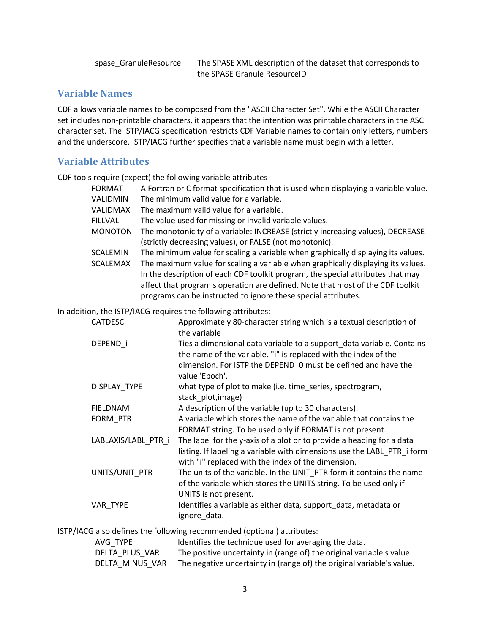spase\_GranuleResource The SPASE XML description of the dataset that corresponds to the SPASE Granule ResourceID

### **Variable Names**

CDF allows variable names to be composed from the "ASCII Character Set". While the ASCII Character set includes non-printable characters, it appears that the intention was printable characters in the ASCII character set. The ISTP/IACG specification restricts CDF Variable names to contain only letters, numbers and the underscore. ISTP/IACG further specifies that a variable name must begin with a letter.

#### **Variable Attributes**

CDF tools require (expect) the following variable attributes

| <b>FORMAT</b>                      | A Fortran or C format specification that is used when displaying a variable value.                                                                                                                                                                                                                                                                                                                          |
|------------------------------------|-------------------------------------------------------------------------------------------------------------------------------------------------------------------------------------------------------------------------------------------------------------------------------------------------------------------------------------------------------------------------------------------------------------|
| VALIDMIN                           | The minimum valid value for a variable.                                                                                                                                                                                                                                                                                                                                                                     |
| VALIDMAX                           | The maximum valid value for a variable.                                                                                                                                                                                                                                                                                                                                                                     |
| <b>FILLVAL</b>                     | The value used for missing or invalid variable values.                                                                                                                                                                                                                                                                                                                                                      |
| <b>MONOTON</b>                     | The monotonicity of a variable: INCREASE (strictly increasing values), DECREASE<br>(strictly decreasing values), or FALSE (not monotonic).                                                                                                                                                                                                                                                                  |
| <b>SCALEMIN</b><br><b>SCALEMAX</b> | The minimum value for scaling a variable when graphically displaying its values.<br>The maximum value for scaling a variable when graphically displaying its values.<br>In the description of each CDF toolkit program, the special attributes that may<br>affect that program's operation are defined. Note that most of the CDF toolkit<br>programs can be instructed to ignore these special attributes. |
|                                    | In addition, the ISTP/IACG requires the following attributes:                                                                                                                                                                                                                                                                                                                                               |
| <b>CATDESC</b>                     | Approximately 80-character string which is a textual description of<br>the variable                                                                                                                                                                                                                                                                                                                         |
| DEPEND_i                           | Ties a dimensional data variable to a support_data variable. Contains<br>the name of the variable. "i" is replaced with the index of the<br>dimension. For ISTP the DEPEND 0 must be defined and have the<br>value 'Epoch'.                                                                                                                                                                                 |
| DISPLAY_TYPE                       | what type of plot to make (i.e. time_series, spectrogram,<br>stack_plot, image)                                                                                                                                                                                                                                                                                                                             |
| <b>FIELDNAM</b>                    | A description of the variable (up to 30 characters).                                                                                                                                                                                                                                                                                                                                                        |
| FORM PTR                           | A variable which stores the name of the variable that contains the<br>FORMAT string. To be used only if FORMAT is not present.                                                                                                                                                                                                                                                                              |
| LABLAXIS/LABL PTR i                | The label for the y-axis of a plot or to provide a heading for a data<br>listing. If labeling a variable with dimensions use the LABL_PTR_i form<br>with "i" replaced with the index of the dimension.                                                                                                                                                                                                      |
| UNITS/UNIT PTR                     | The units of the variable. In the UNIT_PTR form it contains the name<br>of the variable which stores the UNITS string. To be used only if<br>UNITS is not present.                                                                                                                                                                                                                                          |
| VAR TYPE                           | Identifies a variable as either data, support_data, metadata or<br>ignore_data.                                                                                                                                                                                                                                                                                                                             |
|                                    | $CTD$ $I(A C C \cup \{x, y\})$ and $f(x, y, z)$ then $f(x)$ is contained as a second subject of $I(x, y, z)$ is set of the state of $x$                                                                                                                                                                                                                                                                     |

ISTP/IACG also defines the following recommended (optional) attributes:

| AVG TYPE        | Identifies the technique used for averaging the data.                 |
|-----------------|-----------------------------------------------------------------------|
| DELTA PLUS VAR  | The positive uncertainty in (range of) the original variable's value. |
| DELTA MINUS VAR | The negative uncertainty in (range of) the original variable's value. |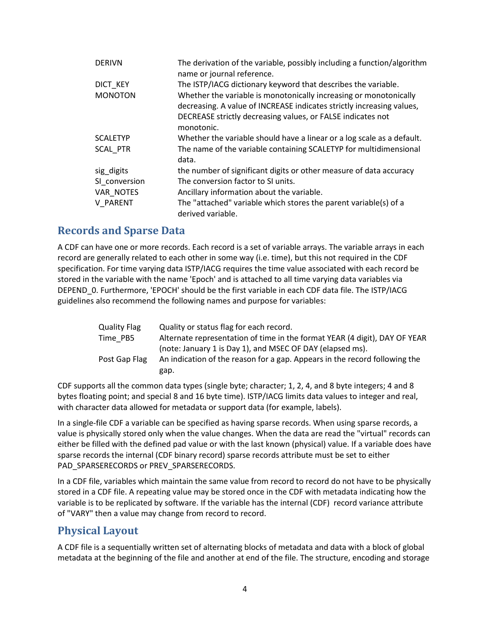| <b>DERIVN</b>   | The derivation of the variable, possibly including a function/algorithm<br>name or journal reference.                                                                                                     |
|-----------------|-----------------------------------------------------------------------------------------------------------------------------------------------------------------------------------------------------------|
| DICT KEY        | The ISTP/IACG dictionary keyword that describes the variable.                                                                                                                                             |
| <b>MONOTON</b>  | Whether the variable is monotonically increasing or monotonically<br>decreasing. A value of INCREASE indicates strictly increasing values,<br>DECREASE strictly decreasing values, or FALSE indicates not |
|                 | monotonic.                                                                                                                                                                                                |
| <b>SCALETYP</b> | Whether the variable should have a linear or a log scale as a default.                                                                                                                                    |
| <b>SCAL PTR</b> | The name of the variable containing SCALETYP for multidimensional<br>data.                                                                                                                                |
| sig digits      | the number of significant digits or other measure of data accuracy                                                                                                                                        |
| SI conversion   | The conversion factor to SI units.                                                                                                                                                                        |
| VAR NOTES       | Ancillary information about the variable.                                                                                                                                                                 |
| <b>V PARENT</b> | The "attached" variable which stores the parent variable(s) of a<br>derived variable.                                                                                                                     |

# **Records and Sparse Data**

A CDF can have one or more records. Each record is a set of variable arrays. The variable arrays in each record are generally related to each other in some way (i.e. time), but this not required in the CDF specification. For time varying data ISTP/IACG requires the time value associated with each record be stored in the variable with the name 'Epoch' and is attached to all time varying data variables via DEPEND\_0. Furthermore, 'EPOCH' should be the first variable in each CDF data file. The ISTP/IACG guidelines also recommend the following names and purpose for variables:

| <b>Quality Flag</b> | Quality or status flag for each record.                                    |
|---------------------|----------------------------------------------------------------------------|
| Time PB5            | Alternate representation of time in the format YEAR (4 digit), DAY OF YEAR |
|                     | (note: January 1 is Day 1), and MSEC OF DAY (elapsed ms).                  |
| Post Gap Flag       | An indication of the reason for a gap. Appears in the record following the |
|                     | gap.                                                                       |

CDF supports all the common data types (single byte; character; 1, 2, 4, and 8 byte integers; 4 and 8 bytes floating point; and special 8 and 16 byte time). ISTP/IACG limits data values to integer and real, with character data allowed for metadata or support data (for example, labels).

In a single-file CDF a variable can be specified as having sparse records. When using sparse records, a value is physically stored only when the value changes. When the data are read the "virtual" records can either be filled with the defined pad value or with the last known (physical) value. If a variable does have sparse records the internal (CDF binary record) sparse records attribute must be set to either PAD\_SPARSERECORDS or PREV\_SPARSERECORDS.

In a CDF file, variables which maintain the same value from record to record do not have to be physically stored in a CDF file. A repeating value may be stored once in the CDF with metadata indicating how the variable is to be replicated by software. If the variable has the internal (CDF) record variance attribute of "VARY" then a value may change from record to record.

# **Physical Layout**

A CDF file is a sequentially written set of alternating blocks of metadata and data with a block of global metadata at the beginning of the file and another at end of the file. The structure, encoding and storage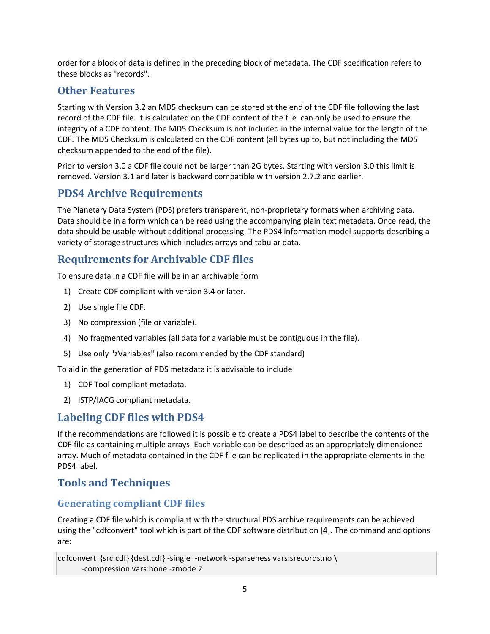order for a block of data is defined in the preceding block of metadata. The CDF specification refers to these blocks as "records".

# **Other Features**

Starting with Version 3.2 an MD5 checksum can be stored at the end of the CDF file following the last record of the CDF file. It is calculated on the CDF content of the file can only be used to ensure the integrity of a CDF content. The MD5 Checksum is not included in the internal value for the length of the CDF. The MD5 Checksum is calculated on the CDF content (all bytes up to, but not including the MD5 checksum appended to the end of the file).

Prior to version 3.0 a CDF file could not be larger than 2G bytes. Starting with version 3.0 this limit is removed. Version 3.1 and later is backward compatible with version 2.7.2 and earlier.

# **PDS4 Archive Requirements**

The Planetary Data System (PDS) prefers transparent, non-proprietary formats when archiving data. Data should be in a form which can be read using the accompanying plain text metadata. Once read, the data should be usable without additional processing. The PDS4 information model supports describing a variety of storage structures which includes arrays and tabular data.

# **Requirements for Archivable CDF files**

To ensure data in a CDF file will be in an archivable form

- 1) Create CDF compliant with version 3.4 or later.
- 2) Use single file CDF.
- 3) No compression (file or variable).
- 4) No fragmented variables (all data for a variable must be contiguous in the file).
- 5) Use only "zVariables" (also recommended by the CDF standard)

To aid in the generation of PDS metadata it is advisable to include

- 1) CDF Tool compliant metadata.
- 2) ISTP/IACG compliant metadata.

### **Labeling CDF files with PDS4**

If the recommendations are followed it is possible to create a PDS4 label to describe the contents of the CDF file as containing multiple arrays. Each variable can be described as an appropriately dimensioned array. Much of metadata contained in the CDF file can be replicated in the appropriate elements in the PDS4 label.

# **Tools and Techniques**

### **Generating compliant CDF files**

Creating a CDF file which is compliant with the structural PDS archive requirements can be achieved using the "cdfconvert" tool which is part of the CDF software distribution [4]. The command and options are:

```
cdfconvert {src.cdf} {dest.cdf} -single -network -sparseness vars:srecords.no \
-compression vars:none -zmode 2
```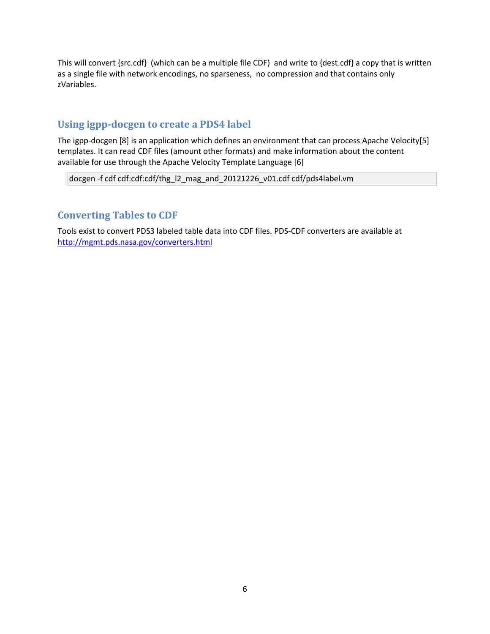This will convert {src.cdf} (which can be a multiple file CDF) and write to {dest.cdf} a copy that is written as a single file with network encodings, no sparseness, no compression and that contains only zVariables.

# **Using igpp-docgen to create a PDS4 label**

The igpp-docgen [8] is an application which defines an environment that can process Apache Velocity[5] templates. It can read CDF files (amount other formats) and make information about the content available for use through the Apache Velocity Template Language [6]

docgen -f cdf cdf:cdf:cdf/thg\_l2\_mag\_and\_20121226\_v01.cdf cdf/pds4label.vm

# **Converting Tables to CDF**

Tools exist to convert PDS3 labeled table data into CDF files. PDS-CDF converters are available at <http://mgmt.pds.nasa.gov/converters.html>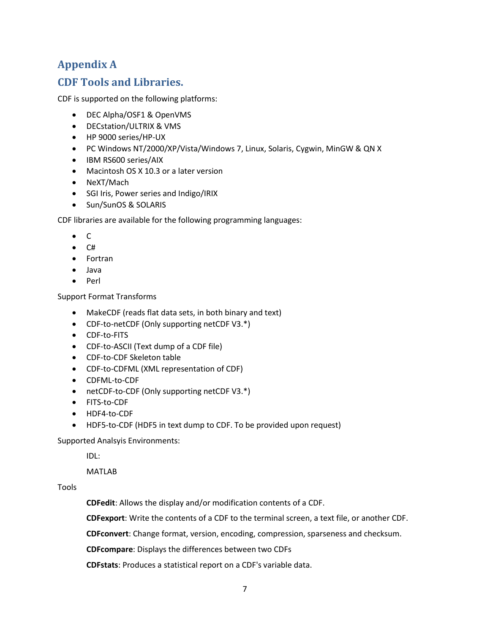# **Appendix A**

# **CDF Tools and Libraries.**

CDF is supported on the following platforms:

- DEC Alpha/OSF1 & OpenVMS
- DECstation/ULTRIX & VMS
- HP 9000 series/HP-UX
- PC Windows NT/2000/XP/Vista/Windows 7, Linux, Solaris, Cygwin, MinGW & QN X
- IBM RS600 series/AIX
- Macintosh OS X 10.3 or a later version
- NeXT/Mach
- SGI Iris, Power series and Indigo/IRIX
- Sun/SunOS & SOLARIS

CDF libraries are available for the following programming languages:

- $\bullet$  C
- $\bullet$  C#
- Fortran
- Java
- Perl

Support Format Transforms

- MakeCDF (reads flat data sets, in both binary and text)
- CDF-to-netCDF (Only supporting netCDF V3.\*)
- CDF-to-FITS
- CDF-to-ASCII (Text dump of a CDF file)
- CDF-to-CDF Skeleton table
- CDF-to-CDFML (XML representation of CDF)
- CDFML-to-CDF
- netCDF-to-CDF (Only supporting netCDF V3.\*)
- FITS-to-CDF
- HDF4-to-CDF
- HDF5-to-CDF (HDF5 in text dump to CDF. To be provided upon request)

Supported Analsyis Environments:

IDL:

MATLAB

Tools

**CDFedit**: Allows the display and/or modification contents of a CDF.

**CDFexport**: Write the contents of a CDF to the terminal screen, a text file, or another CDF.

**CDFconvert**: Change format, version, encoding, compression, sparseness and checksum.

**CDFcompare**: Displays the differences between two CDFs

**CDFstats**: Produces a statistical report on a CDF's variable data.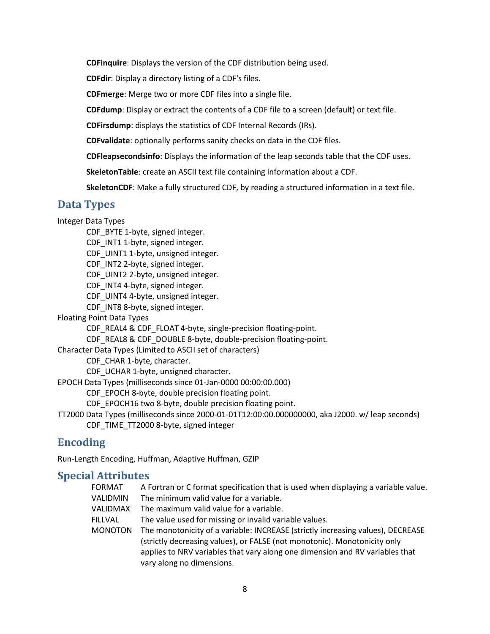**CDFinquire**: Displays the version of the CDF distribution being used.

**CDFdir**: Display a directory listing of a CDF's files.

**CDFmerge**: Merge two or more CDF files into a single file.

**CDFdump**: Display or extract the contents of a CDF file to a screen (default) or text file.

**CDFirsdump**: displays the statistics of CDF Internal Records (IRs).

**CDFvalidate**: optionally performs sanity checks on data in the CDF files.

**CDFleapsecondsinfo**: Displays the information of the leap seconds table that the CDF uses.

**SkeletonTable**: create an ASCII text file containing information about a CDF.

**SkeletonCDF**: Make a fully structured CDF, by reading a structured information in a text file.

#### **Data Types**

Integer Data Types CDF BYTE 1-byte, signed integer. CDF INT1 1-byte, signed integer. CDF\_UINT1 1-byte, unsigned integer. CDF INT2 2-byte, signed integer. CDF UINT2 2-byte, unsigned integer. CDF\_INT4 4-byte, signed integer. CDF UINT4 4-byte, unsigned integer. CDF\_INT8 8-byte, signed integer. Floating Point Data Types CDF\_REAL4 & CDF\_FLOAT 4-byte, single-precision floating-point. CDF\_REAL8 & CDF\_DOUBLE 8-byte, double-precision floating-point. Character Data Types (Limited to ASCII set of characters) CDF CHAR 1-byte, character. CDF UCHAR 1-byte, unsigned character. EPOCH Data Types (milliseconds since 01-Jan-0000 00:00:00.000) CDF EPOCH 8-byte, double precision floating point. CDF\_EPOCH16 two 8-byte, double precision floating point. TT2000 Data Types (milliseconds since 2000-01-01T12:00:00.000000000, aka J2000. w/ leap seconds) CDF\_TIME\_TT2000 8-byte, signed integer

### **Encoding**

Run-Length Encoding, Huffman, Adaptive Huffman, GZIP

### **Special Attributes**

FORMAT A Fortran or C format specification that is used when displaying a variable value. VALIDMIN The minimum valid value for a variable. VALIDMAX The maximum valid value for a variable. FILLVAL The value used for missing or invalid variable values. MONOTON The monotonicity of a variable: INCREASE (strictly increasing values), DECREASE (strictly decreasing values), or FALSE (not monotonic). Monotonicity only applies to NRV variables that vary along one dimension and RV variables that vary along no dimensions.